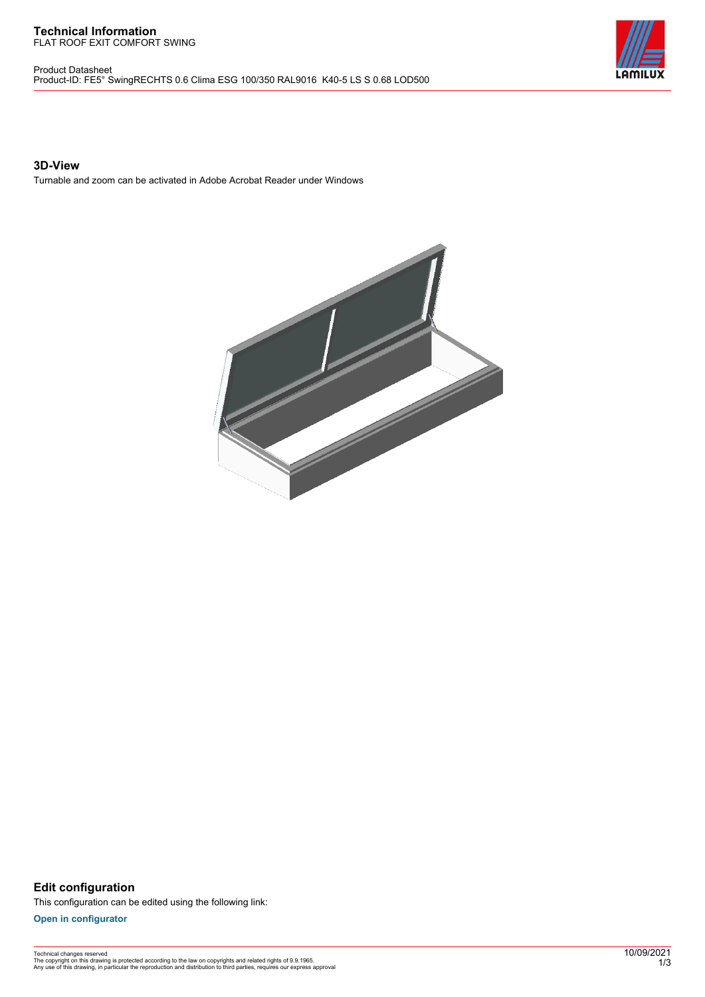#### **Technical Information** FLAT ROOF EXIT COMFORT SWING

Product Datasheet Product-ID: FE5° SwingRECHTS 0.6 Clima ESG 100/350 RAL9016 K40-5 LS S 0.68 LOD500



## **3D-View**

Turnable and zoom can be activated in Adobe Acrobat Reader under Windows



**Edit configuration** This configuration can be edited using the following link:

**[Open in configurator](https://bimconfig.lamilux.com//?quickcode=IPGUOR)**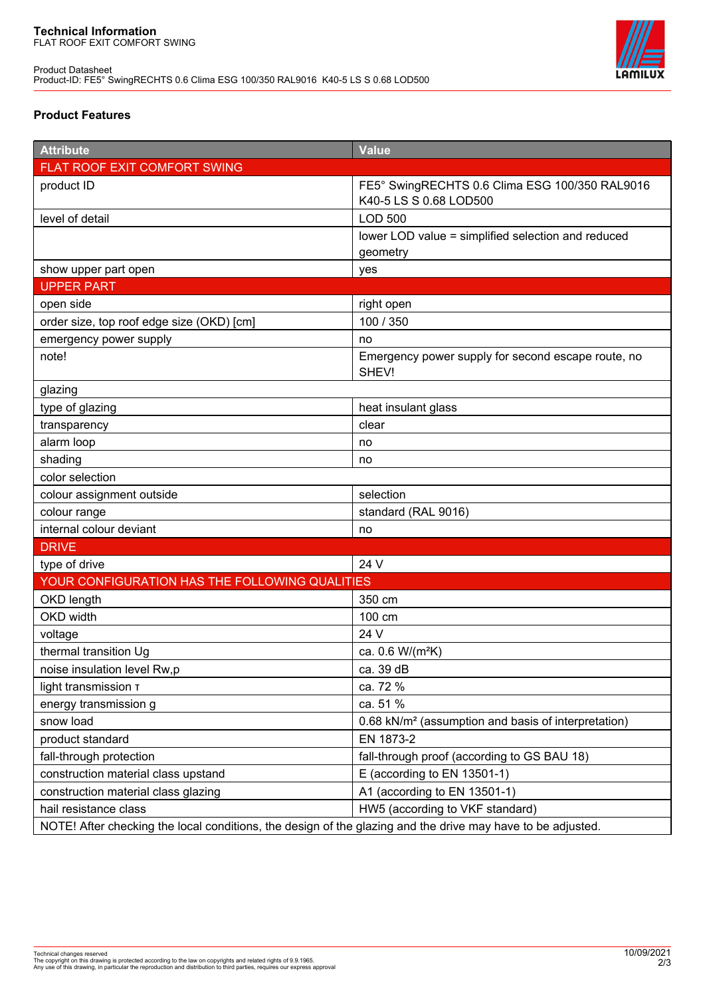

# **Product Features**

| <b>Attribute</b>                                                                                            | <b>Value</b>                                                             |
|-------------------------------------------------------------------------------------------------------------|--------------------------------------------------------------------------|
| FLAT ROOF EXIT COMFORT SWING                                                                                |                                                                          |
| product ID                                                                                                  | FE5° SwingRECHTS 0.6 Clima ESG 100/350 RAL9016<br>K40-5 LS S 0.68 LOD500 |
| level of detail                                                                                             | <b>LOD 500</b>                                                           |
|                                                                                                             | lower LOD value = simplified selection and reduced                       |
|                                                                                                             | geometry                                                                 |
| show upper part open                                                                                        | yes                                                                      |
| <b>UPPER PART</b>                                                                                           |                                                                          |
| open side                                                                                                   | right open                                                               |
| order size, top roof edge size (OKD) [cm]                                                                   | 100 / 350                                                                |
| emergency power supply                                                                                      | no                                                                       |
| note!                                                                                                       | Emergency power supply for second escape route, no<br>SHEV!              |
| glazing                                                                                                     |                                                                          |
| type of glazing                                                                                             | heat insulant glass                                                      |
| transparency                                                                                                | clear                                                                    |
| alarm loop                                                                                                  | no                                                                       |
| shading                                                                                                     | no                                                                       |
| color selection                                                                                             |                                                                          |
| colour assignment outside                                                                                   | selection                                                                |
| colour range                                                                                                | standard (RAL 9016)                                                      |
| internal colour deviant                                                                                     | no                                                                       |
| <b>DRIVE</b>                                                                                                |                                                                          |
| type of drive                                                                                               | 24 V                                                                     |
| YOUR CONFIGURATION HAS THE FOLLOWING QUALITIES                                                              |                                                                          |
| OKD length                                                                                                  | 350 cm                                                                   |
| <b>OKD</b> width                                                                                            | 100 cm                                                                   |
| voltage                                                                                                     | 24 V                                                                     |
| thermal transition Ug                                                                                       | ca. 0.6 W/(m <sup>2</sup> K)                                             |
| noise insulation level Rw,p                                                                                 | ca. 39 dB                                                                |
| light transmission T                                                                                        | ca. 72 %                                                                 |
| energy transmission g                                                                                       | ca. 51 %                                                                 |
| snow load                                                                                                   | 0.68 kN/m <sup>2</sup> (assumption and basis of interpretation)          |
| product standard                                                                                            | EN 1873-2                                                                |
| fall-through protection                                                                                     | fall-through proof (according to GS BAU 18)                              |
| construction material class upstand                                                                         | E (according to EN 13501-1)                                              |
| construction material class glazing                                                                         | A1 (according to EN 13501-1)                                             |
| hail resistance class                                                                                       | HW5 (according to VKF standard)                                          |
| NOTE! After checking the local conditions, the design of the glazing and the drive may have to be adjusted. |                                                                          |